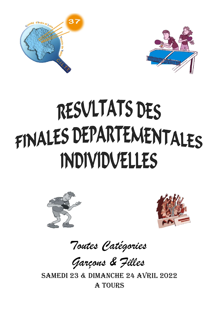



# RESVLTATS DES FINALES DEPARTENENTALES **INDIVIDVELLES**





Toutes Catégories

Garçons & Filles

samedi 23 & dimaNCHe 24 aVRiL 2022 a TOURs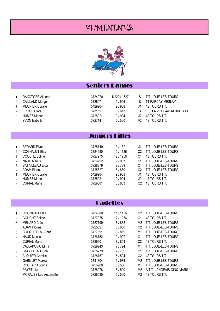# FEMININES



#### Seniors Dames

|    | RAKOTOBE Alienor       | 3724070 | N222 / 1627 |     | S T.T. JOUE-LES-TOURS        |
|----|------------------------|---------|-------------|-----|------------------------------|
|    | CAILLAUD Morgen        | 3726071 | 9/906       |     | TT PARCAY-MESLAY             |
| 3  | <b>MEUNIER Coralie</b> | 5429904 | 9/988       | .11 | 4S TOURS T.T.                |
|    | <b>FROGE Clara</b>     | 3731597 | 6/613       |     | S E.S. LA VILLE-AUX-DAMES TT |
| 5. | <b>HUMEZ Manon</b>     | 3725921 | 9/994       | .12 | 4S TOURS T.T.                |
|    | <b>YVON</b> Isabelle   | 3727141 | 5/500       | V2. | 4S TOURS T.T.                |

#### Juniors Filles

| 1                     | <b>BERARD Elyne</b>    | 3725749 | 13/1321 |      | T.T. JOUE-LES-TOURS |
|-----------------------|------------------------|---------|---------|------|---------------------|
| $\mathbf{2}$          | <b>COGNAULT Elsa</b>   | 3724680 | 11/1126 |      | T.T. JOUE-LES-TOURS |
| 3                     | <b>COUCHE Soline</b>   | 3727975 | 12/1256 |      | 4S TOURS T.T.       |
| $\tilde{\phantom{a}}$ | <b>NAUD Maelis</b>     | 3726752 | 9/907   | C1   | T.T. JOUE-LES-TOURS |
| 5.                    | <b>BATAILLEAU Eloa</b> | 3728279 | 7/739   | C1   | T.T. JOUE-LES-TOURS |
|                       | <b>ADAM Florine</b>    | 3725827 | 8/880   |      | T.T. JOUE-LES-TOURS |
| 7                     | <b>MEUNIER Coralie</b> | 5429904 | 9/988   | ا ا. | 4S TOURS T.T.       |
|                       | <b>HUMEZ Manon</b>     | 3725921 | 9/994   | .12  | 4S TOURS T.T.       |
|                       | <b>CURIAL Marie</b>    | 3729601 | 8/853   |      | 4S TOURS T.T.       |

#### **Cadettes**

| 1                     | <b>COGNAULT Elsa</b>          | 3724680 | 11/1126 | C2             | T.T. JOUE-LES-TOURS       |
|-----------------------|-------------------------------|---------|---------|----------------|---------------------------|
| $\mathbf{2}$          | <b>COUCHE Soline</b>          | 3727975 | 12/1256 | С1             | 4S TOURS T.T.             |
| 3                     | <b>MENARD Chlea</b>           | 3727799 | 8/832   | M2             | T.T. JOUE-LES-TOURS       |
| $\tilde{\phantom{a}}$ | <b>ADAM Florine</b>           | 3725827 | 8/880   | C2             | T.T. JOUE-LES-TOURS       |
| 5                     | <b>BOCQUET Lou-Anne</b>       | 3727891 | 8/869   | M1             | T.T. JOUE-LES-TOURS       |
| $\tilde{\phantom{a}}$ | <b>NAUD Maelis</b>            | 3726752 | 9/907   | С1             | T.T. JOUE-LES-TOURS       |
| $\tilde{\phantom{a}}$ | <b>CURIAL Marie</b>           | 3729601 | 8/853   | C2             | 4S TOURS T.T.             |
| $\tilde{\phantom{a}}$ | CAJLAKOVIC Elma               | 3729243 | 7/794   | M1             | T.T. JOUE-LES-TOURS       |
| 9                     | <b>BATAILLEAU Eloa</b>        | 3728279 | 7/739   | C1             | T.T. JOUE-LES-TOURS       |
| $\tilde{\phantom{a}}$ | <b>ALQUIER Camille</b>        | 3728757 | 5/504   | C2             | 4S TOURS T.T.             |
| $\tilde{\phantom{a}}$ | <b>GABILLET Marwa</b>         | 3731304 | 5/535   | M2             | T.T. JOUE-LES-TOURS       |
| $\tilde{\phantom{a}}$ | ROCHARD Louna                 | 3726980 | 5/566   | M1             | T.T. JOUE-LES-TOURS       |
| $\tilde{\phantom{a}}$ | <b>PAYET Lila</b>             | 3728078 | 5/500   | M <sub>2</sub> | A.T.T. LANGEAIS-CINQ-MARS |
| $\tilde{ }$           | <b>MORALES Lou Antoinette</b> | 3726530 | 5/500   | M2             | 4S TOURS T.T.             |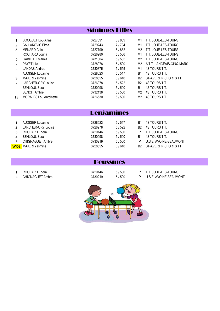|                       |                               | <b>Minimes Filles</b> |       |                |                           |
|-----------------------|-------------------------------|-----------------------|-------|----------------|---------------------------|
|                       |                               |                       |       |                |                           |
| $\mathbf{1}$          | <b>BOCQUET Lou-Anne</b>       | 3727891               | 8/869 | M1             | T.T. JOUE-LES-TOURS       |
| $\mathbf{2}$          | CAJLAKOVIC Elma               | 3729243               | 7/794 | M1             | T.T. JOUE-LES-TOURS       |
| 3                     | <b>MENARD Chlea</b>           | 3727799               | 8/832 | M2             | T.T. JOUE-LES-TOURS       |
| $\tilde{\phantom{a}}$ | ROCHARD Louna                 | 3726980               | 5/566 | M1             | T.T. JOUE-LES-TOURS       |
| 5.                    | <b>GABILLET Marwa</b>         | 3731304               | 5/535 | M2             | T.T. JOUE-LES-TOURS       |
| $\tilde{\phantom{a}}$ | <b>PAYET Lila</b>             | 3728078               | 5/500 | M2             | A.T.T. LANGEAIS-CINQ-MARS |
| $\tilde{\phantom{a}}$ | <b>LANDAS Andrea</b>          | 3730375               | 5/555 | M1             | 4S TOURS T.T.             |
| $\tilde{\phantom{a}}$ | <b>AUDIGER Louanne</b>        | 3728523               | 5/547 | B1             | 4S TOURS T.T.             |
| 9                     | <b>MAJERI Yasmine</b>         | 3728555               | 6/610 | B <sub>2</sub> | ST-AVERTIN SPORTS TT      |
| $\tilde{\phantom{a}}$ | LARCHER-ORY Louise            | 3726978               | 5/522 | B <sub>2</sub> | 4S TOURS T.T.             |
| $\tilde{\phantom{a}}$ | <b>BEHLOUL Sara</b>           | 3730998               | 5/500 | B1             | 4S TOURS T.T.             |
| $\tilde{\phantom{a}}$ | <b>BENOIT Ambre</b>           | 3732138               | 5/500 | M2             | 4S TOURS T.T.             |
| 13                    | <b>MORALES Lou Antoinette</b> | 3726530               | 5/500 | M2             | 4S TOURS T.T.             |
|                       |                               |                       |       |                |                           |

#### Benjamines

| 5. | AUDIGER Louanne<br>LARCHER-ORY Louise<br>ROCHARD Enora<br><b>BEHLOUL Sara</b><br>CHIGNAGUET Ambre | 3728523<br>3726978<br>3729146<br>3730998<br>3730219<br>3728555 | 5/547<br>5/522<br>5/500<br>5/500<br>5/500<br>6/610 | B1<br>R2.<br>B1 | 4S TOURS T.T.<br>4S TOURS T.T.<br>T.T. JOUE-LES-TOURS<br>4S TOURS T.T.<br>U.S.E. AVOINE-BEAUMONT<br>B2 ST-AVERTIN SPORTS TT |
|----|---------------------------------------------------------------------------------------------------|----------------------------------------------------------------|----------------------------------------------------|-----------------|-----------------------------------------------------------------------------------------------------------------------------|
|    | <b>WOE</b> MAJERI Yasmine                                                                         |                                                                |                                                    |                 |                                                                                                                             |
|    |                                                                                                   |                                                                |                                                    |                 |                                                                                                                             |

#### Poussines

1 ROCHARD Enora 3729146 5 / 500 P T.T. JOUE-LES-TOURS U.S.E. AVOINE-BEAUMONT

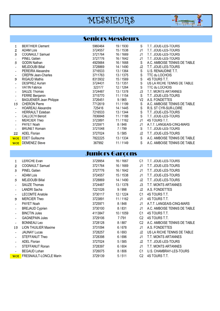# MESSIEURS



#### Seniors Messieurs

| 1                     | <b>BERTHIER Clement</b>        | 5960464 | 19 / 1930 | S              | T.T. JOUE-LES-TOURS          |
|-----------------------|--------------------------------|---------|-----------|----------------|------------------------------|
| 2                     | <b>ADAM Lois</b>               | 3724557 | 15 / 1538 | J1             | T.T. JOUE-LES-TOURS          |
| 3                     | <b>COGNAULT Samuel</b>         | 3721764 | 16 / 1669 | J1             | T.T. JOUE-LES-TOURS          |
| $\tilde{\phantom{a}}$ | <b>PINEL Gatien</b>            | 3727776 | 16 / 1642 | J1             | T.T. JOUE-LES-TOURS          |
| 5                     | <b>GODIN Nathan</b>            | 4925664 | 16 / 1668 | S              | A.C. AMBOISE TENNIS DE TABLE |
| $\tilde{\phantom{a}}$ | <b>MEJDOUBI Billal</b>         | 3728869 | 14 / 1490 | J2             | T.T. JOUE-LES-TOURS          |
| $\tilde{\phantom{a}}$ | PEREIRA Alexandre              | 3716533 | 13 / 1364 | S              | U.S. RENAUDINE T.T.          |
| $\tilde{\phantom{a}}$ | <b>CREPIN Jean-Charles</b>     | 3711763 | 13/1375   | S              | TTC du LOCHOIS               |
| 9                     | <b>RIGAUD Mathis</b>           | 8313932 | 15 / 1569 | S              | 4S TOURS T.T.                |
| $\tilde{\phantom{a}}$ | <b>DESPREZ Aurian</b>          | 3724431 | 13 / 1351 | S              | US LA RICHE TENNIS DE TABLE  |
| $\tilde{\phantom{a}}$ | <b>VATIN Fabrice</b>           | 323177  | 12 / 1264 | S              | <b>TTC du LOCHOIS</b>        |
|                       | <b>SAUZE Thomas</b>            | 3724487 | 13 / 1378 | J3             | T.T. MONTS ARTANNES          |
| $\tilde{\phantom{a}}$ | <b>FERRE Benjamin</b>          | 3715770 | 11 / 1154 | S              | T.T. JOUE-LES-TOURS          |
| $\tilde{\phantom{a}}$ | <b>BAGUENIER Jean Philippe</b> | 3726451 | 9/965     | V <sub>2</sub> | A.S. FONDETTES               |
| 15                    | <b>CHERON Pierre</b>           | 7712619 | 11 / 1199 | S              | A.C. AMBOISE TENNIS DE TABLE |
| $\tilde{\phantom{a}}$ | <b>HOAREAU Alexandre</b>       | 725416  | 14 / 1445 | S              | R.S. ST CYR-SUR-LOIRE        |
| $\tilde{\phantom{a}}$ | <b>HERRAULT Esteban</b>        | 7216533 | 13 / 1344 | S              | T.T. JOUE-LES-TOURS          |
|                       | <b>CALLOC'H Benoit</b>         | 7836848 | 11/1188   | S              | T.T. JOUE-LES-TOURS          |
|                       | <b>MERCIER Theo</b>            | 3723891 | 11 / 1162 | J1             | 4S TOURS T.T.                |
| $\tilde{\phantom{a}}$ | PAYET Noah                     | 3725971 | 8/848     | J1             | A.T.T. LANGEAIS-CINQ-MARS    |
|                       | <b>BRUNET Romain</b>           | 3721048 | 7/799     | S              | T.T. JOUE-LES-TOURS          |
| 22                    | <b>ADEL Florian</b>            | 3727024 | 5/585     | J2             | T.T. JOUE-LES-TOURS          |
| <b>WOE</b>            | <b>EDET Guillaume</b>          | 7822225 | 13 / 1334 | S              | A.C. AMBOISE TENNIS DE TABLE |
| <b>WOE</b>            | <b>DEMENEZ Steve</b>           | 367992  | 11 / 1149 | S              | A.C. AMBOISE TENNIS DE TABLE |

## Juniors Garçons

| 1                     | <b>LERICHE Evan</b>           | 3729954 | 16 / 1667 | C <sub>1</sub> | T.T. JOUE-LES-TOURS          |
|-----------------------|-------------------------------|---------|-----------|----------------|------------------------------|
| $\mathbf{2}$          | <b>COGNAULT Samuel</b>        | 3721764 | 16 / 1669 | J1             | T.T. JOUE-LES-TOURS          |
| 3                     | <b>PINEL Gatien</b>           | 3727776 | 16 / 1642 | J1             | T.T. JOUE-LES-TOURS          |
|                       | <b>ADAM Lois</b>              | 3724557 | 15 / 1538 | J1             | T.T. JOUE-LES-TOURS          |
| 5.                    | <b>MEJDOUBI Billal</b>        | 3728869 | 14 / 1490 | J2             | T.T. JOUE-LES-TOURS          |
|                       | <b>SAUZE Thomas</b>           | 3724487 | 13 / 1378 | J3             | T.T. MONTS ARTANNES          |
|                       | <b>LANDRI</b> Sacha           | 7221026 | 9/998     | J <sub>2</sub> | A.S. FONDETTES               |
|                       | <b>LECOMTE Anatole</b>        | 3730117 | 12 / 1224 | C <sub>1</sub> | 4S TOURS T.T.                |
| 9                     | <b>MERCIER Theo</b>           | 3723891 | 11/1162   | J1             | 4S TOURS T.T.                |
| $\tilde{\phantom{a}}$ | PAYET Noah                    | 3725971 | 8/848     | J1             | A.T.T. LANGEAIS-CINQ-MARS    |
| $\tilde{\phantom{a}}$ | <b>BREJAUD Cyprien</b>        | 3730100 | 8/831     | J1             | A.C. AMBOISE TENNIS DE TABLE |
|                       | <b>BINCTIN Jules</b>          | 4113847 | 10 / 1059 | C <sub>1</sub> | 4S TOURS T.T.                |
|                       | <b>GAGNEPAIN Jules</b>        | 3729106 | 7/791     | C <sub>2</sub> | 4S TOURS T.T.                |
| $\tilde{\phantom{a}}$ | <b>BONNEAU Leo</b>            | 3728128 | 8/887     | C <sub>2</sub> | A.C. AMBOISE TENNIS DE TABLE |
| 15                    | <b>LION THUILIER Maxime</b>   | 3731094 | 6/678     | J1             | A.S. FONDETTES               |
|                       | <b>JAUNAY Lucas</b>           | 3728257 | 6/693     | J2             | US LA RICHE TENNIS DE TABLE  |
|                       | STEFFANUT Theo                | 3728398 | 6/696     | J <sub>1</sub> | T.T. MONTS ARTANNES          |
|                       | <b>ADEL Florian</b>           | 3727024 | 5/585     | J2             | T.T. JOUE-LES-TOURS          |
|                       | STEFFANUT Ronan               | 3728397 | 6/604     | J <sub>1</sub> | T.T. MONTS ARTANNES          |
|                       | <b>BEGAUD Lohan</b>           | 3726075 | 8/806     | C <sub>1</sub> | U.S. CHAMBRAY-LES-TOURS      |
| <b>WOE</b>            | <b>FRESNAULT-LONCLE Marin</b> | 3729139 | 5/511     | C <sub>2</sub> | 4S TOURS T.T.                |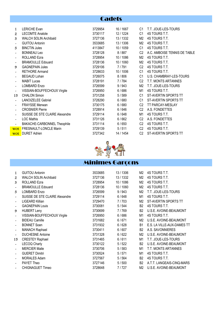### **Cadets**

| 1                     | <b>LERICHE Evan</b>            | 3729954 | 16 / 1667 | C1             | T.T. JOUE-LES-TOURS          |
|-----------------------|--------------------------------|---------|-----------|----------------|------------------------------|
| $\mathbf{2}$          | <b>LECOMTE Anatole</b>         | 3730117 | 12 / 1224 | C1             | 4S TOURS T.T.                |
| 3                     | <b>WALCH SOLIN Archibald</b>   | 3727136 | 13 / 1332 | M2             | 4S TOURS T.T.                |
|                       | <b>GUITOU Antonin</b>          | 3533685 | 13/1306   | M2             | 4S TOURS T.T.                |
| 5.                    | <b>BINCTIN Jules</b>           | 4113847 | 10 / 1059 | C1             | 4S TOURS T.T.                |
|                       | <b>BONNEAU Leo</b>             | 3728128 | 8/887     | C <sub>2</sub> | A.C. AMBOISE TENNIS DE TABLE |
|                       | <b>ROLLAND Ezra</b>            | 3728954 | 10 / 1086 | M <sub>2</sub> | 4S TOURS T.T.                |
| $\tilde{\phantom{a}}$ | <b>BRAMOULLE Edouard</b>       | 3728136 | 10 / 1060 | M2             | 4S TOURS T.T.                |
| 9                     | <b>GAGNEPAIN Jules</b>         | 3729106 | 7/791     | C <sub>2</sub> | 4S TOURS T.T.                |
|                       | <b>RETHORE Armand</b>          | 3728633 | 10 / 1006 | C1             | 4S TOURS T.T.                |
|                       | <b>BEGAUD Lohan</b>            | 3726075 | 8/806     | C1             | U.S. CHAMBRAY-LES-TOURS      |
|                       | <b>MABIT Lucas</b>             | 3728191 | 7/784     | C <sub>2</sub> | T.T. MONTS ARTANNES          |
| $\tilde{\phantom{a}}$ | <b>LOMBARD Enzo</b>            | 3726599 | 9/943     | M2             | T.T. JOUE-LES-TOURS          |
| $\tilde{\phantom{a}}$ | VISSIAN-BOUFFECHOUX Virgile    | 3726950 | 6/686     | M1             | 4S TOURS T.T.                |
| 15                    | <b>CHALON Simon</b>            | 3731258 | 5/589     | C1             | ST-AVERTIN SPORTS TT         |
|                       | <b>LANOIZELEE Gabriel</b>      | 3728290 | 6/680     | C1             | ST-AVERTIN SPORTS TT         |
| $\tilde{\phantom{a}}$ | FRAYSSE Merwan                 | 3730175 | 6/680     | C <sub>2</sub> | <b>TT PARCAY-MESLAY</b>      |
|                       | <b>CROSNIER Pierre</b>         | 3728914 | 6/646     | C <sub>2</sub> | A.S. FONDETTES               |
|                       | SUISSE DE STE CLAIRE Alexandre | 3729114 | 6/648     | M1             | 4S TOURS T.T.                |
|                       | <b>LOC Mathis</b>              | 3731126 | 6/662     | C <sub>2</sub> | A.S. FONDETTES               |
| $\tilde{\phantom{a}}$ | BAKACHE-CARBONNEL Theophile    | 3731114 | 6/650     | C <sub>2</sub> | 4S TOURS T.T.                |
| <b>WOE</b>            | <b>FRESNAULT-LONCLE Marin</b>  | 3729139 | 5/511     | C <sub>2</sub> | 4S TOURS T.T.                |
|                       | <b>WOE</b> DURET Adrien        | 3727342 | 14 / 1454 | C <sub>2</sub> | ST-AVERTIN SPORTS TT         |



| $\mathbf{1}$          | <b>GUITOU Antonin</b>          | 3533685 | 13 / 1306 | M2             | 4S TOURS T.T.              |
|-----------------------|--------------------------------|---------|-----------|----------------|----------------------------|
| $\mathbf{z}$          | <b>WALCH SOLIN Archibald</b>   | 3727136 | 13 / 1332 | M <sub>2</sub> | 4S TOURS T.T.              |
| 3                     | <b>ROLLAND Ezra</b>            | 3728954 | 10 / 1086 | M <sub>2</sub> | 4S TOURS T.T.              |
|                       | <b>BRAMOULLE Edouard</b>       | 3728136 | 10 / 1060 | M <sub>2</sub> | 4S TOURS T.T.              |
| 5                     | <b>LOMBARD Enzo</b>            | 3726599 | 9/943     | M2             | T.T. JOUE-LES-TOURS        |
| $\tilde{\phantom{a}}$ | SUISSE DE STE CLAIRE Alexandre | 3729114 | 6/648     | M <sub>1</sub> | 4S TOURS T.T.              |
| $\tilde{\phantom{a}}$ | LIGEARD Killian                | 3729470 | 7/703     | M2             | ST-AVERTIN SPORTS TT       |
| $\tilde{\phantom{a}}$ | <b>GAGNEPAIN Louis</b>         | 3730081 | 5/544     | <b>B2</b>      | 4S TOURS T.T.              |
| 9                     | <b>HUBERT Leny</b>             | 3730699 | 7/769     | <b>B2</b>      | U.S.E. AVOINE-BEAUMONT     |
| $\tilde{\phantom{a}}$ | VISSIAN-BOUFFECHOUX Virgile    | 3726950 | 6/686     | M <sub>1</sub> | 4S TOURS T.T.              |
| $\tilde{\phantom{a}}$ | <b>BIDEAU Camille</b>          | 3731682 | 6/671     | M <sub>2</sub> | U.S.E. AVOINE-BEAUMONT     |
|                       | <b>BONNET</b> Soen             | 3731932 | 6/628     | <b>B1</b>      | E.S. LA VILLE-AUX-DAMES TT |
| $\tilde{\phantom{a}}$ | <b>MANACH Raphael</b>          | 3730411 | 6/607     | <b>B2</b>      | A.S. SAVONNIERES           |
| $\tilde{\phantom{a}}$ | <b>DUCHESNE Antoine</b>        | 3731328 | 6/622     | M <sub>2</sub> | U.S.E. AVOINE-BEAUMONT     |
| 15                    | <b>CRESTEY Raphael</b>         | 3731465 | 6/611     | M <sub>1</sub> | T.T. JOUE-LES-TOURS        |
| $\tilde{\phantom{a}}$ | <b>LECOQ Charly</b>            | 3730122 | 5/522     | <b>B2</b>      | U.S.E. AVOINE-BEAUMONT     |
| $\tilde{\phantom{a}}$ | <b>MERCIER Maile</b>           | 3730706 | 5/583     | M <sub>1</sub> | T.T. MONTS ARTANNES        |
| $\tilde{\phantom{a}}$ | <b>GUERET Dimitri</b>          | 3730524 | 5/571     | M1             | 4S TOURS T.T.              |
| $\tilde{\phantom{a}}$ | <b>MORALES Adam</b>            | 3727567 | 5/564     | <b>B2</b>      | 4S TOURS T.T.              |
| $\tilde{\phantom{a}}$ | PAYET Theo                     | 3727146 | 5/500     | B <sub>2</sub> | A.T.T. LANGEAIS-CINQ-MARS  |
| $\tilde{\phantom{a}}$ | <b>CHIGNAGUET Timeo</b>        | 3728648 | 7/727     | M2             | U.S.E. AVOINE-BEAUMONT     |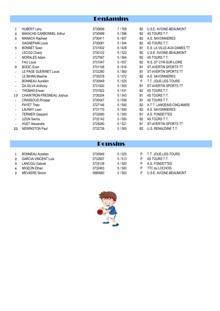### Benjamins

| 1                     | <b>HUBERT Leny</b>        | 3730699 | 7/769 | B2             | U.S.E. AVOINE-BEAUMONT      |
|-----------------------|---------------------------|---------|-------|----------------|-----------------------------|
| $\mathbf{2}$          | BAKACHE-CARBONNEL Arthur  | 3730999 | 5/596 | <b>B2</b>      | 4S TOURS T.T.               |
|                       |                           |         |       |                |                             |
| 3                     | <b>MANACH Raphael</b>     | 3730411 | 6/607 | <b>B2</b>      | A.S. SAVONNIERES            |
| $\tilde{\phantom{a}}$ | <b>GAGNEPAIN Louis</b>    | 3730081 | 5/544 | B <sub>2</sub> | 4S TOURS T.T.               |
| 5                     | <b>BONNET</b> Soen        | 3731932 | 6/628 | <b>B1</b>      | E.S. LA VILLE-AUX-DAMES TT  |
| $\tilde{\phantom{a}}$ | <b>LECOQ Charly</b>       | 3730122 | 5/522 | B <sub>2</sub> | U.S.E. AVOINE-BEAUMONT      |
| $\tilde{\phantom{a}}$ | <b>MORALES Adam</b>       | 3727567 | 5/564 | B2             | 4S TOURS T.T.               |
| $\tilde{\phantom{a}}$ | <b>FAU Louis</b>          | 3731047 | 5/557 | B <sub>2</sub> | R.S. ST CYR-SUR-LOIRE       |
| 9                     | <b>BODIC Evan</b>         | 3731106 | 6/616 | <b>B1</b>      | ST-AVERTIN SPORTS TT        |
|                       | LE PAGE GUERINET Louis    | 3732260 | 5/560 | <b>B1</b>      | <b>ST-AVERTIN SPORTS TT</b> |
| $\rightarrow$         | LE BIHAN Maxime           | 3730278 | 5/572 | B <sub>2</sub> | A.S. SAVONNIERES            |
|                       | <b>BONNEAU Aurelien</b>   | 3730949 | 5/525 | P              | T.T. JOUE-LES-TOURS         |
| $\tilde{\phantom{a}}$ | DA SILVA Anthony          | 3731500 | 5/505 | <b>B1</b>      | ST-AVERTIN SPORTS TT        |
| $\tilde{\phantom{a}}$ | <b>THOMAS Erwan</b>       | 3731922 | 5/531 | B <sub>2</sub> | 4S TOURS T.T.               |
| 15                    | CHAINTRON-FRESNEAU Joshua | 3730204 | 5/543 | <b>B1</b>      | 4S TOURS T.T.               |
| $\tilde{\phantom{a}}$ | <b>CRASSOUS Prosper</b>   | 3730047 | 5/556 | <b>B1</b>      | 4S TOURS T.T.               |
| $\tilde{\phantom{a}}$ | PAYET Theo                | 3727146 | 5/500 | B <sub>2</sub> | A.T.T. LANGEAIS-CINQ-MARS   |
| $\tilde{\phantom{a}}$ | <b>LAUNAY Loan</b>        | 3731170 | 5/500 | <b>B2</b>      | A.S. SAVONNIERES            |
| $\tilde{\phantom{a}}$ | <b>TERNIER Gaspard</b>    | 3732690 | 5/500 | <b>B1</b>      | A.S. FONDETTES              |
| $\tilde{\phantom{a}}$ | <b>UZUN Sacha</b>         | 3732142 | 5/500 | <b>B2</b>      | 4S TOURS T.T.               |
| $\tilde{\phantom{a}}$ | <b>HUET Alexandre</b>     | 3729280 | 5/521 | <b>B1</b>      | ST-AVERTIN SPORTS TT        |
| 22                    | <b>NEWINGTON Paul</b>     | 3732738 | 5/500 | <b>B2</b>      | U.S. RENAUDINE T.T.         |

#### Poussins

| $\mathbf{1}$   | <b>BONNEAU Aurelien</b>                       | 3730949            | 5/525          | P T.T. JOUE-LES-TOURS           |
|----------------|-----------------------------------------------|--------------------|----------------|---------------------------------|
| 2<br>3         | <b>GARCIA-VINCENT Luis</b><br>LANCIGU Gabriel | 3732807<br>3733138 | 5/513<br>5/500 | 4S TOURS T.T.<br>A.S. FONDETTES |
| $\overline{4}$ | MIGEON Ethan                                  | 3732463            | 5/500          | TTC du LOCHOIS                  |
| 5.             | MEVAERE Simon                                 | 5980660            | 5/500          | U.S.E. AVOINE-BEAUMONT          |

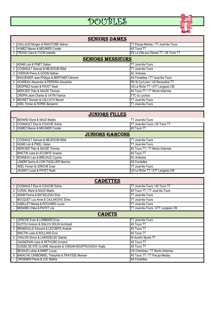# DOUBLES



#### 1 CAILLAUD Morgen & RAKOTOBE Aliénor The California Communication of the CAILLAUD Morgen & RAKOTOBE Aliénor 2 HUMEZ Manon & MEUNIER Coralie 4S Tours TT 3 FROGE Clara & YVON Isabelle ESS La Ville aux Dames TT / 4S Tours TT 1 ADAM Lois & PINET Gatien The Contract of the Contract of the Contract of the Contract of TT Joué-lès-Tours 2 COGNAULT Samuel & MEJDOUBI Billal TELECTRIS AND THE STOURS TO USE TO USE TO USE TO USE TO USE TO USE TO USE 3 CHERON Pierre & GODIN Nathan Accords and Accords and AC Amboise - BAGUENIER Jean-Philippe & BERTHIER Clément AS Fondettes / TT Joué-lès-Tours 5 HOAREAU Alexandre & PEREIRA Alexandre **RS St-Cyr/Loire / US Renaudine TT** - DESPREZ Aurian & PAYET Noah US La Riche TT / ATT Langeais CM - MERCIER Théo & SAUZE Thomas 4S Tours TT / TT Monts Artannes - CREPIN Jean-Charles & VATIN Fabrice TTC du Lochois 9 BRUNET Romain & CALLOC'H Benoit<br>
- ADEL Florian & FERRE Benjamin<br>
TT Joué-lès-Tours - ADEL Florian & FERRE Benjamin **SENIORS DAMES** seNiORs messieURs

|   | <b>JUNIORS FILLES</b>                         |                                   |  |  |  |  |  |  |  |
|---|-----------------------------------------------|-----------------------------------|--|--|--|--|--|--|--|
|   | BERARD Elyne & NAUD Maélis                    | TT Joué-lès-Tours                 |  |  |  |  |  |  |  |
|   | 2 COGNAULT Elsa & COUCHE Soline               | ITT Joué-lès-Tours / 4S Tours TT  |  |  |  |  |  |  |  |
|   | 3 HUMEZ Manon & MEUNIER Coralie               | <b>I4S Tours TT</b>               |  |  |  |  |  |  |  |
|   | <b>JUNIORS GARCONS</b>                        |                                   |  |  |  |  |  |  |  |
|   | <b>ICOGNAULT Samuel &amp; MEJDOUBI Billal</b> | TT Joué-lès-Tours                 |  |  |  |  |  |  |  |
|   | <b>JADAM Lois &amp; PINEL Gatien</b>          | TT Joué-lès-Tours                 |  |  |  |  |  |  |  |
|   | IMERCIER Théo & SAUZE Thomas                  | 4S Tours TT / TT Monts Artannes   |  |  |  |  |  |  |  |
|   | <b>IBINCTIN Jules &amp; LECOMTE Anatole</b>   | <b>14S Tours TT</b>               |  |  |  |  |  |  |  |
| 5 | BONNEAU Léo & BREJAUD Cyprien                 | <b>IAC Amboise</b>                |  |  |  |  |  |  |  |
|   | LANDRI Sacha & LION THUILLIER Maxime          | <b>AS Fondettes</b>               |  |  |  |  |  |  |  |
|   | <b>JADEL Florian &amp; LERICHE Evan</b>       | <b>TT Joué-lès-Tours</b>          |  |  |  |  |  |  |  |
|   | <b>JAUNAY Lucas &amp; PAYET Noah</b>          | IUS La Riche TT / ATT Langeais CM |  |  |  |  |  |  |  |

| <b>CADETTES</b> |                                                              |                                     |  |  |
|-----------------|--------------------------------------------------------------|-------------------------------------|--|--|
|                 | COGNAULT Elsa & COUCHE Soline                                | TT Joué-lès-Tours / 4S Tours TT     |  |  |
|                 | <b>CURIAL Marie &amp; NAUD Maelis</b>                        | 4S Tours TT / TT Joué-lès-Tours     |  |  |
| 3               | ADAM Florine & BATAILLEAU Eloa                               | <b>TT Joué-lès-Tours</b>            |  |  |
|                 | <b>BOCQUET Lou Anne &amp; CAJLAKOVIC Elma</b>                | TT Joué-lès-Tours                   |  |  |
|                 | 5 GABILLET Marwa & ROCHARD Louna                             | TT Joué-lès-Tours                   |  |  |
|                 | MENARD Chléa & PAYET Lila                                    | TT Joué-lès-Tours / ATT Langeais CM |  |  |
| <b>CADETS</b>   |                                                              |                                     |  |  |
|                 | <b>LERICHE Evan &amp; LOMBARD Enzo</b>                       | TT Joué-lès-Tours                   |  |  |
| $\overline{2}$  | <b>GUITOU Antonin &amp; WALCH SOLIN Archibald</b>            | <b>4S Tours TT</b>                  |  |  |
| 3               | BRAMOULLE Edouard & LECOMTE Anatole                          | 4S Tours TT                         |  |  |
|                 | BINCTIN Jules & ROLLAND Ezra                                 | 4S Tours TT                         |  |  |
|                 | 5 CHALON Simon & LANOIZELEE Gabriel                          | St-Avertin Sports TT                |  |  |
|                 | <b>GAGNEPAIN Jules &amp; RETHORE Armand</b>                  | 4S Tours TT                         |  |  |
|                 | SUISSE DE STE CLAIRE Alexandre & VISSIAN BOUFFECHOUX Virgile | 4S Tours TT                         |  |  |
|                 | BEGAUD Lohan & MABIT Lucas                                   | US Chambray / TT Monts Artannes     |  |  |
| 9               | BAKACHE CARBONNEL Théophile & FRAYSSE Merwan                 | 4S Tours TT / TT Parçay-Meslay      |  |  |
|                 | <b>ICROSNIER Pierre &amp; LOC Mathis</b>                     | <b>AS Fondettes</b>                 |  |  |